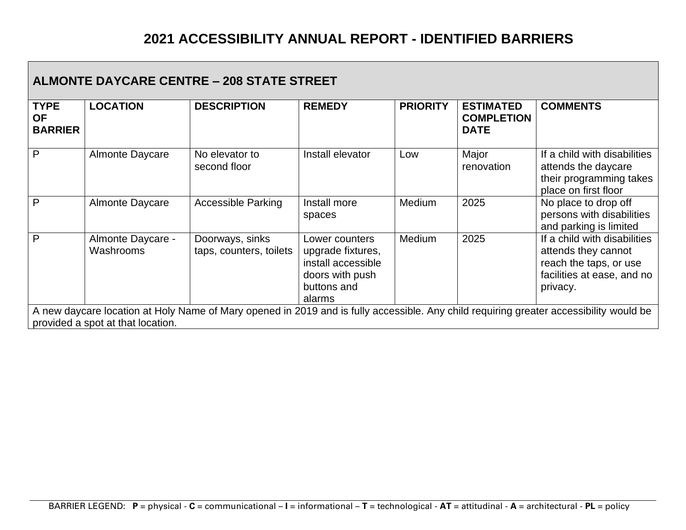| <b>ALMONTE DAYCARE CENTRE - 208 STATE STREET</b> |                                                                                                                                                                             |                                            |                                                                                                       |                 |                                                      |                                                                                                                         |  |  |
|--------------------------------------------------|-----------------------------------------------------------------------------------------------------------------------------------------------------------------------------|--------------------------------------------|-------------------------------------------------------------------------------------------------------|-----------------|------------------------------------------------------|-------------------------------------------------------------------------------------------------------------------------|--|--|
| <b>TYPE</b><br><b>OF</b><br><b>BARRIER</b>       | <b>LOCATION</b>                                                                                                                                                             | <b>DESCRIPTION</b>                         | <b>REMEDY</b>                                                                                         | <b>PRIORITY</b> | <b>ESTIMATED</b><br><b>COMPLETION</b><br><b>DATE</b> | <b>COMMENTS</b>                                                                                                         |  |  |
| P                                                | <b>Almonte Daycare</b>                                                                                                                                                      | No elevator to<br>second floor             | Install elevator                                                                                      | Low             | Major<br>renovation                                  | If a child with disabilities<br>attends the daycare<br>their programming takes<br>place on first floor                  |  |  |
| P                                                | <b>Almonte Daycare</b>                                                                                                                                                      | <b>Accessible Parking</b>                  | Install more<br>spaces                                                                                | Medium          | 2025                                                 | No place to drop off<br>persons with disabilities<br>and parking is limited                                             |  |  |
| P                                                | Almonte Daycare -<br>Washrooms                                                                                                                                              | Doorways, sinks<br>taps, counters, toilets | Lower counters<br>upgrade fixtures,<br>install accessible<br>doors with push<br>buttons and<br>alarms | <b>Medium</b>   | 2025                                                 | If a child with disabilities<br>attends they cannot<br>reach the taps, or use<br>facilities at ease, and no<br>privacy. |  |  |
|                                                  | A new daycare location at Holy Name of Mary opened in 2019 and is fully accessible. Any child requiring greater accessibility would be<br>provided a spot at that location. |                                            |                                                                                                       |                 |                                                      |                                                                                                                         |  |  |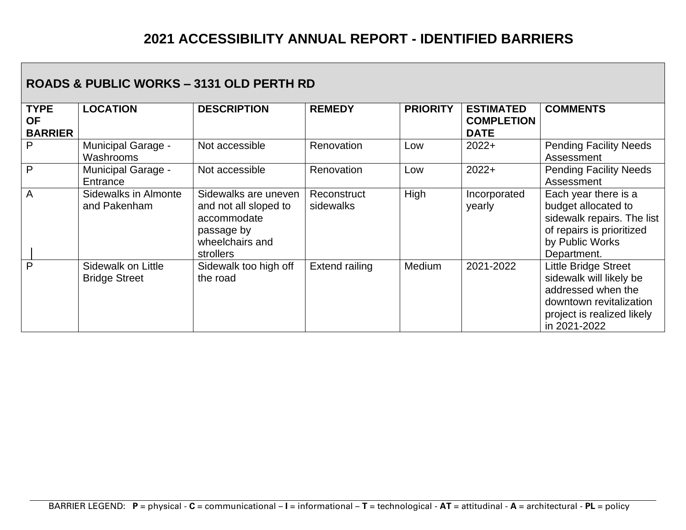#### **ROADS & PUBLIC WORKS – 3131 OLD PERTH RD**

| <b>TYPE</b><br><b>OF</b><br><b>BARRIER</b> | <b>LOCATION</b>                            | <b>DESCRIPTION</b>                                                                                         | <b>REMEDY</b>            | <b>PRIORITY</b> | <b>ESTIMATED</b><br><b>COMPLETION</b><br><b>DATE</b> | <b>COMMENTS</b>                                                                                                                                       |
|--------------------------------------------|--------------------------------------------|------------------------------------------------------------------------------------------------------------|--------------------------|-----------------|------------------------------------------------------|-------------------------------------------------------------------------------------------------------------------------------------------------------|
| P                                          | <b>Municipal Garage -</b><br>Washrooms     | Not accessible                                                                                             | Renovation               | Low             | $2022+$                                              | <b>Pending Facility Needs</b><br>Assessment                                                                                                           |
| P                                          | <b>Municipal Garage -</b><br>Entrance      | Not accessible                                                                                             | Renovation               | Low             | $2022+$                                              | <b>Pending Facility Needs</b><br>Assessment                                                                                                           |
| $\overline{A}$                             | Sidewalks in Almonte<br>and Pakenham       | Sidewalks are uneven<br>and not all sloped to<br>accommodate<br>passage by<br>wheelchairs and<br>strollers | Reconstruct<br>sidewalks | High            | Incorporated<br>yearly                               | Each year there is a<br>budget allocated to<br>sidewalk repairs. The list<br>of repairs is prioritized<br>by Public Works<br>Department.              |
| P                                          | Sidewalk on Little<br><b>Bridge Street</b> | Sidewalk too high off<br>the road                                                                          | <b>Extend railing</b>    | Medium          | 2021-2022                                            | <b>Little Bridge Street</b><br>sidewalk will likely be<br>addressed when the<br>downtown revitalization<br>project is realized likely<br>in 2021-2022 |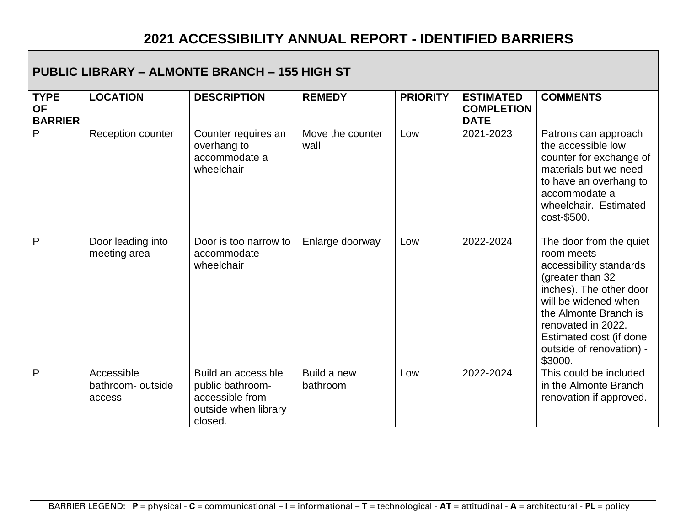| <b>PUBLIC LIBRARY - ALMONTE BRANCH - 155 HIGH ST</b> |                                           |                                                                                               |                          |                 |                                                      |                                                                                                                                                                                                                                                          |  |
|------------------------------------------------------|-------------------------------------------|-----------------------------------------------------------------------------------------------|--------------------------|-----------------|------------------------------------------------------|----------------------------------------------------------------------------------------------------------------------------------------------------------------------------------------------------------------------------------------------------------|--|
| <b>TYPE</b><br><b>OF</b><br><b>BARRIER</b>           | <b>LOCATION</b>                           | <b>DESCRIPTION</b>                                                                            | <b>REMEDY</b>            | <b>PRIORITY</b> | <b>ESTIMATED</b><br><b>COMPLETION</b><br><b>DATE</b> | <b>COMMENTS</b>                                                                                                                                                                                                                                          |  |
| $\mathsf{P}$                                         | Reception counter                         | Counter requires an<br>overhang to<br>accommodate a<br>wheelchair                             | Move the counter<br>wall | Low             | 2021-2023                                            | Patrons can approach<br>the accessible low<br>counter for exchange of<br>materials but we need<br>to have an overhang to<br>accommodate a<br>wheelchair. Estimated<br>cost-\$500.                                                                        |  |
| P                                                    | Door leading into<br>meeting area         | Door is too narrow to<br>accommodate<br>wheelchair                                            | Enlarge doorway          | Low             | 2022-2024                                            | The door from the quiet<br>room meets<br>accessibility standards<br>(greater than 32<br>inches). The other door<br>will be widened when<br>the Almonte Branch is<br>renovated in 2022.<br>Estimated cost (if done<br>outside of renovation) -<br>\$3000. |  |
| $\overline{P}$                                       | Accessible<br>bathroom- outside<br>access | Build an accessible<br>public bathroom-<br>accessible from<br>outside when library<br>closed. | Build a new<br>bathroom  | Low             | 2022-2024                                            | This could be included<br>in the Almonte Branch<br>renovation if approved.                                                                                                                                                                               |  |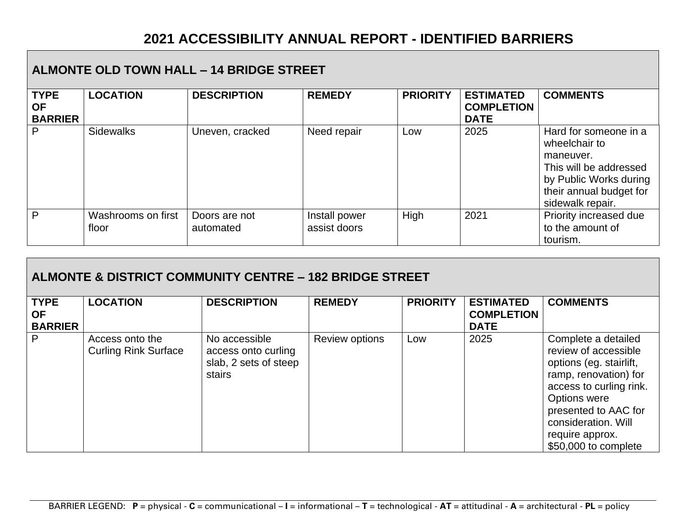| <b>ALMONTE OLD TOWN HALL - 14 BRIDGE STREET</b> |                             |                            |                               |                 |                                                      |                                                                                                                                                        |  |
|-------------------------------------------------|-----------------------------|----------------------------|-------------------------------|-----------------|------------------------------------------------------|--------------------------------------------------------------------------------------------------------------------------------------------------------|--|
| <b>TYPE</b><br><b>OF</b><br><b>BARRIER</b>      | <b>LOCATION</b>             | <b>DESCRIPTION</b>         | <b>REMEDY</b>                 | <b>PRIORITY</b> | <b>ESTIMATED</b><br><b>COMPLETION</b><br><b>DATE</b> | <b>COMMENTS</b>                                                                                                                                        |  |
| P                                               | <b>Sidewalks</b>            | Uneven, cracked            | Need repair                   | Low             | 2025                                                 | Hard for someone in a<br>wheelchair to<br>maneuver.<br>This will be addressed<br>by Public Works during<br>their annual budget for<br>sidewalk repair. |  |
| P                                               | Washrooms on first<br>floor | Doors are not<br>automated | Install power<br>assist doors | High            | 2021                                                 | Priority increased due<br>to the amount of<br>tourism.                                                                                                 |  |

| <b>ALMONTE &amp; DISTRICT COMMUNITY CENTRE - 182 BRIDGE STREET</b> |                                                |                                                                         |                       |                 |                                                      |                                                                                                                                                                                                                                             |  |  |
|--------------------------------------------------------------------|------------------------------------------------|-------------------------------------------------------------------------|-----------------------|-----------------|------------------------------------------------------|---------------------------------------------------------------------------------------------------------------------------------------------------------------------------------------------------------------------------------------------|--|--|
| <b>TYPE</b><br><b>OF</b><br><b>BARRIER</b>                         | <b>LOCATION</b>                                | <b>DESCRIPTION</b>                                                      | <b>REMEDY</b>         | <b>PRIORITY</b> | <b>ESTIMATED</b><br><b>COMPLETION</b><br><b>DATE</b> | <b>COMMENTS</b>                                                                                                                                                                                                                             |  |  |
| P                                                                  | Access onto the<br><b>Curling Rink Surface</b> | No accessible<br>access onto curling<br>slab, 2 sets of steep<br>stairs | <b>Review options</b> | Low             | 2025                                                 | Complete a detailed<br>review of accessible<br>options (eg. stairlift,<br>ramp, renovation) for<br>access to curling rink.<br><b>Options were</b><br>presented to AAC for<br>consideration. Will<br>require approx.<br>\$50,000 to complete |  |  |